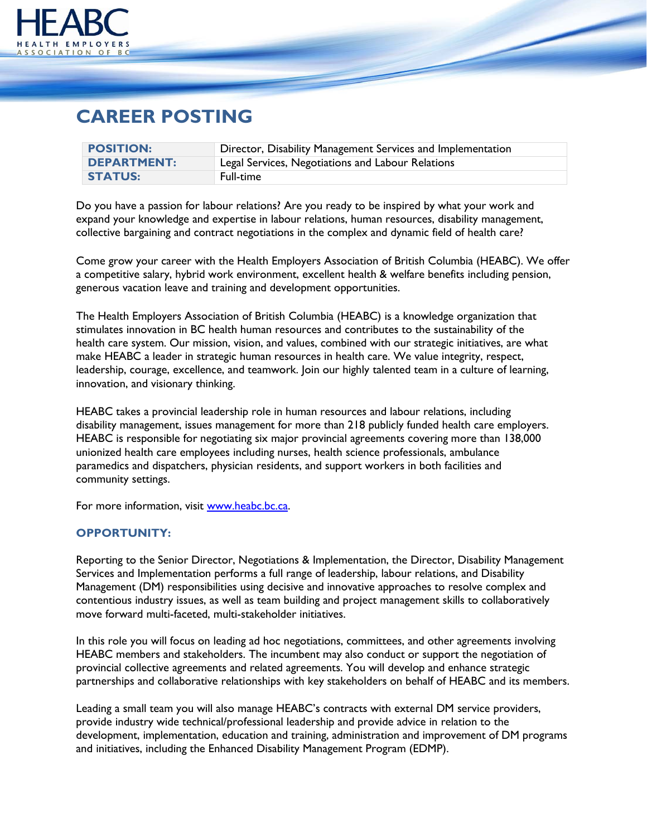

## **CAREER POSTING**

| <b>POSITION:</b>   | Director, Disability Management Services and Implementation |
|--------------------|-------------------------------------------------------------|
| <b>DEPARTMENT:</b> | Legal Services, Negotiations and Labour Relations           |
| <b>STATUS:</b>     | Full-time                                                   |

Do you have a passion for labour relations? Are you ready to be inspired by what your work and expand your knowledge and expertise in labour relations, human resources, disability management, collective bargaining and contract negotiations in the complex and dynamic field of health care?

Come grow your career with the Health Employers Association of British Columbia (HEABC). We offer a competitive salary, hybrid work environment, excellent health & welfare benefits including pension, generous vacation leave and training and development opportunities.

The Health Employers Association of British Columbia (HEABC) is a knowledge organization that stimulates innovation in BC health human resources and contributes to the sustainability of the health care system. Our mission, vision, and values, combined with our strategic initiatives, are what make HEABC a leader in strategic human resources in health care. We value integrity, respect, leadership, courage, excellence, and teamwork. Join our highly talented team in a culture of learning, innovation, and visionary thinking.

HEABC takes a provincial leadership role in human resources and labour relations, including disability management, issues management for more than 218 publicly funded health care employers. HEABC is responsible for negotiating six major provincial agreements covering more than 138,000 unionized health care employees including nurses, health science professionals, ambulance paramedics and dispatchers, physician residents, and support workers in both facilities and community settings.

For more information, visit [www.heabc.bc.ca.](http://www.heabc.bc.ca/)

## **OPPORTUNITY:**

Reporting to the Senior Director, Negotiations & Implementation, the Director, Disability Management Services and Implementation performs a full range of leadership, labour relations, and Disability Management (DM) responsibilities using decisive and innovative approaches to resolve complex and contentious industry issues, as well as team building and project management skills to collaboratively move forward multi-faceted, multi-stakeholder initiatives.

In this role you will focus on leading ad hoc negotiations, committees, and other agreements involving HEABC members and stakeholders. The incumbent may also conduct or support the negotiation of provincial collective agreements and related agreements. You will develop and enhance strategic partnerships and collaborative relationships with key stakeholders on behalf of HEABC and its members.

Leading a small team you will also manage HEABC's contracts with external DM service providers, provide industry wide technical/professional leadership and provide advice in relation to the development, implementation, education and training, administration and improvement of DM programs and initiatives, including the Enhanced Disability Management Program (EDMP).